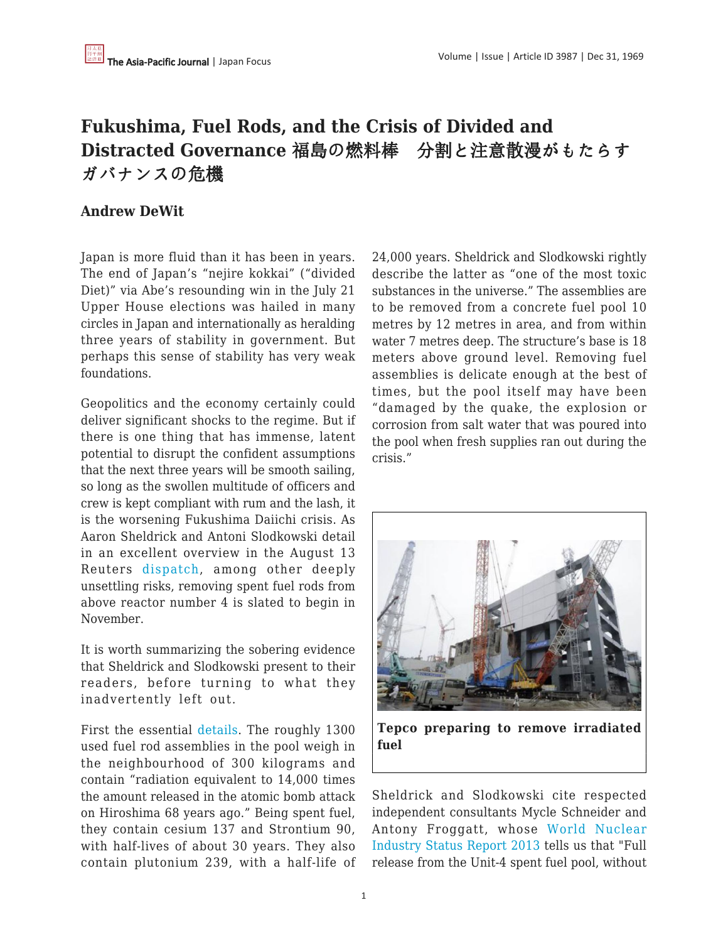## **Fukushima, Fuel Rods, and the Crisis of Divided and Distracted Governance** 福島の燃料棒 分割と注意散漫がもたらす ガバナンスの危機

## **Andrew DeWit**

Japan is more fluid than it has been in years. The end of Japan's "nejire kokkai" ("divided Diet)" via Abe's resounding win in the July 21 Upper House elections was hailed in many circles in Japan and internationally as heralding three years of stability in government. But perhaps this sense of stability has very weak foundations.

Geopolitics and the economy certainly could deliver significant shocks to the regime. But if there is one thing that has immense, latent potential to disrupt the confident assumptions that the next three years will be smooth sailing, so long as the swollen multitude of officers and crew is kept compliant with rum and the lash, it is the worsening Fukushima Daiichi crisis. As Aaron Sheldrick and Antoni Slodkowski detail in an excellent overview in the August 13 Reuters [dispatch](http://www.reuters.com/article/2013/08/14/us-japan-fukushima-insight-idUSBRE97D00M20130814), among other deeply unsettling risks, removing spent fuel rods from above reactor number 4 is slated to begin in November.

It is worth summarizing the sobering evidence that Sheldrick and Slodkowski present to their readers, before turning to what they inadvertently left out.

First the essential [details](http://www.nrc.gov/reading-rm/doc-collections/fact-sheets/radwaste.html). The roughly 1300 used fuel rod assemblies in the pool weigh in the neighbourhood of 300 kilograms and contain "radiation equivalent to 14,000 times the amount released in the atomic bomb attack on Hiroshima 68 years ago." Being spent fuel, they contain cesium 137 and Strontium 90, with half-lives of about 30 years. They also contain plutonium 239, with a half-life of

24,000 years. Sheldrick and Slodkowski rightly describe the latter as "one of the most toxic substances in the universe." The assemblies are to be removed from a concrete fuel pool 10 metres by 12 metres in area, and from within water 7 metres deep. The structure's base is 18 meters above ground level. Removing fuel assemblies is delicate enough at the best of times, but the pool itself may have been "damaged by the quake, the explosion or corrosion from salt water that was poured into the pool when fresh supplies ran out during the crisis."



**Tepco preparing to remove irradiated fuel**

Sheldrick and Slodkowski cite respected independent consultants Mycle Schneider and Antony Froggatt, whose [World Nuclear](http://www.worldnuclearreport.org/) [Industry Status Report 2013](http://www.worldnuclearreport.org/) tells us that "Full release from the Unit-4 spent fuel pool, without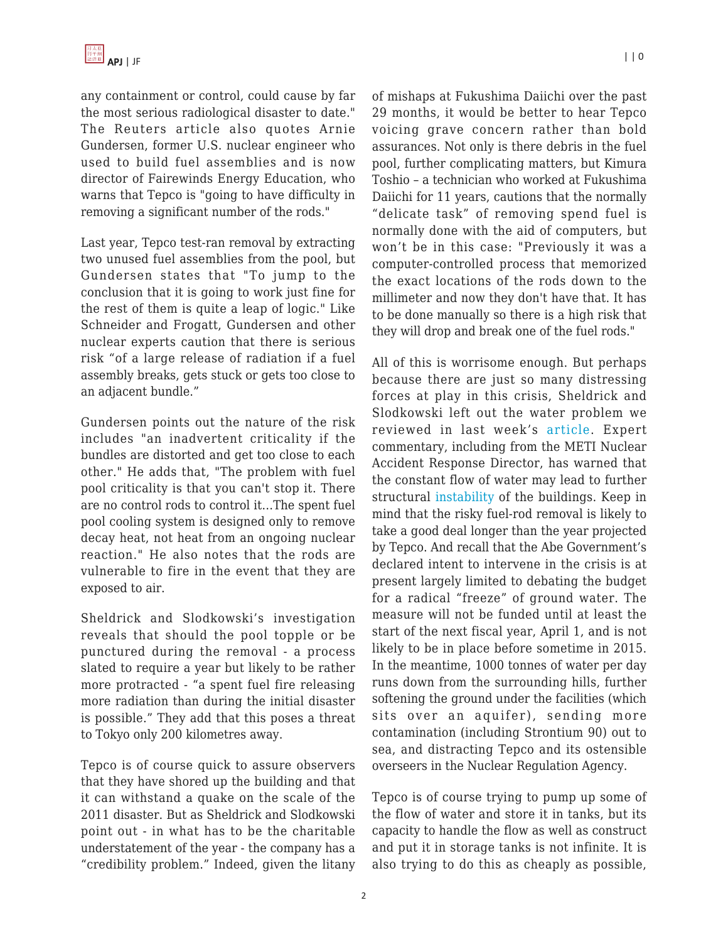any containment or control, could cause by far the most serious radiological disaster to date." The Reuters article also quotes Arnie Gundersen, former U.S. nuclear engineer who used to build fuel assemblies and is now director of Fairewinds Energy Education, who warns that Tepco is "going to have difficulty in removing a significant number of the rods."

Last year, Tepco test-ran removal by extracting two unused fuel assemblies from the pool, but Gundersen states that "To jump to the conclusion that it is going to work just fine for the rest of them is quite a leap of logic." Like Schneider and Frogatt, Gundersen and other nuclear experts caution that there is serious risk "of a large release of radiation if a fuel assembly breaks, gets stuck or gets too close to an adjacent bundle."

Gundersen points out the nature of the risk includes "an inadvertent criticality if the bundles are distorted and get too close to each other." He adds that, "The problem with fuel pool criticality is that you can't stop it. There are no control rods to control it…The spent fuel pool cooling system is designed only to remove decay heat, not heat from an ongoing nuclear reaction." He also notes that the rods are vulnerable to fire in the event that they are exposed to air.

Sheldrick and Slodkowski's investigation reveals that should the pool topple or be punctured during the removal - a process slated to require a year but likely to be rather more protracted - "a spent fuel fire releasing more radiation than during the initial disaster is possible." They add that this poses a threat to Tokyo only 200 kilometres away.

Tepco is of course quick to assure observers that they have shored up the building and that it can withstand a quake on the scale of the 2011 disaster. But as Sheldrick and Slodkowski point out - in what has to be the charitable understatement of the year - the company has a "credibility problem." Indeed, given the litany of mishaps at Fukushima Daiichi over the past 29 months, it would be better to hear Tepco voicing grave concern rather than bold assurances. Not only is there debris in the fuel pool, further complicating matters, but Kimura Toshio – a technician who worked at Fukushima Daiichi for 11 years, cautions that the normally "delicate task" of removing spend fuel is normally done with the aid of computers, but won't be in this case: "Previously it was a computer-controlled process that memorized the exact locations of the rods down to the millimeter and now they don't have that. It has to be done manually so there is a high risk that they will drop and break one of the fuel rods."

All of this is worrisome enough. But perhaps because there are just so many distressing forces at play in this crisis, Sheldrick and Slodkowski left out the water problem we reviewed in last week's [article.](http://www.japanfocus.org/-Andrew-DeWit/3984) Expert commentary, including from the METI Nuclear Accident Response Director, has warned that the constant flow of water may lead to further structural [instability](http://enenews.com/wsj-official-warns-that-tepco-could-topple-reactor-buildings-by-changing-flow-of-groundwater-at-fukushima-plant-water-could-pool-dangerously-underground-softening-the-earth) of the buildings. Keep in mind that the risky fuel-rod removal is likely to take a good deal longer than the year projected by Tepco. And recall that the Abe Government's declared intent to intervene in the crisis is at present largely limited to debating the budget for a radical "freeze" of ground water. The measure will not be funded until at least the start of the next fiscal year, April 1, and is not likely to be in place before sometime in 2015. In the meantime, 1000 tonnes of water per day runs down from the surrounding hills, further softening the ground under the facilities (which sits over an aquifer), sending more contamination (including Strontium 90) out to sea, and distracting Tepco and its ostensible overseers in the Nuclear Regulation Agency.

Tepco is of course trying to pump up some of the flow of water and store it in tanks, but its capacity to handle the flow as well as construct and put it in storage tanks is not infinite. It is also trying to do this as cheaply as possible,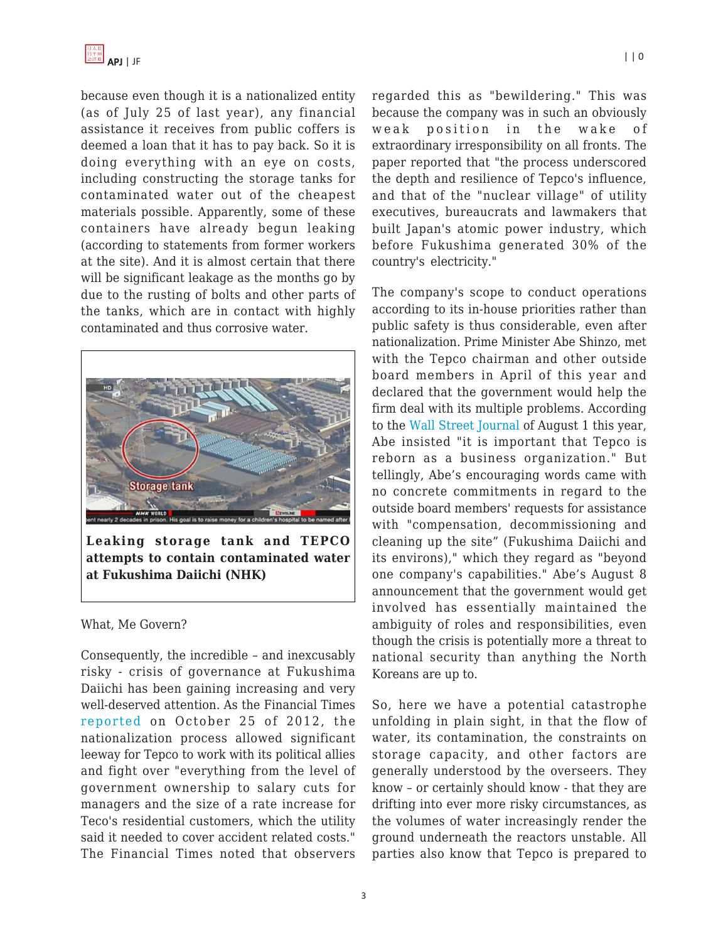because even though it is a nationalized entity (as of July 25 of last year), any financial assistance it receives from public coffers is deemed a loan that it has to pay back. So it is doing everything with an eye on costs, including constructing the storage tanks for contaminated water out of the cheapest materials possible. Apparently, some of these containers have already begun leaking (according to statements from former workers at the site). And it is almost certain that there will be significant leakage as the months go by due to the rusting of bolts and other parts of the tanks, which are in contact with highly contaminated and thus corrosive water.



**Leaking storage tank and TEPCO attempts to contain contaminated water at Fukushima Daiichi (NHK)**

## What, Me Govern?

Consequently, the incredible – and inexcusably risky - crisis of governance at Fukushima Daiichi has been gaining increasing and very well-deserved attention. As the Financial Times [reported](http://www.ft.com/intl/cms/s/0/31c90a46-1926-11e2-af4e-00144feabdc0.html) on October 25 of 2012, the nationalization process allowed significant leeway for Tepco to work with its political allies and fight over "everything from the level of government ownership to salary cuts for managers and the size of a rate increase for Teco's residential customers, which the utility said it needed to cover accident related costs." The Financial Times noted that observers regarded this as "bewildering." This was because the company was in such an obviously weak position in the wake of extraordinary irresponsibility on all fronts. The paper reported that "the process underscored the depth and resilience of Tepco's influence, and that of the "nuclear village" of utility executives, bureaucrats and lawmakers that built Japan's atomic power industry, which before Fukushima generated 30% of the country's electricity."

The company's scope to conduct operations according to its in-house priorities rather than public safety is thus considerable, even after nationalization. Prime Minister Abe Shinzo, met with the Tepco chairman and other outside board members in April of this year and declared that the government would help the firm deal with its multiple problems. According to the [Wall Street Journal](http://blogs.wsj.com/japanrealtime/2013/08/01/fukushima-watch-whats-behind-tepcos-confidence/) of August 1 this year, Abe insisted "it is important that Tepco is reborn as a business organization." But tellingly, Abe's encouraging words came with no concrete commitments in regard to the outside board members' requests for assistance with "compensation, decommissioning and cleaning up the site" (Fukushima Daiichi and its environs)," which they regard as "beyond one company's capabilities." Abe's August 8 announcement that the government would get involved has essentially maintained the ambiguity of roles and responsibilities, even though the crisis is potentially more a threat to national security than anything the North Koreans are up to.

So, here we have a potential catastrophe unfolding in plain sight, in that the flow of water, its contamination, the constraints on storage capacity, and other factors are generally understood by the overseers. They know – or certainly should know - that they are drifting into ever more risky circumstances, as the volumes of water increasingly render the ground underneath the reactors unstable. All parties also know that Tepco is prepared to

3